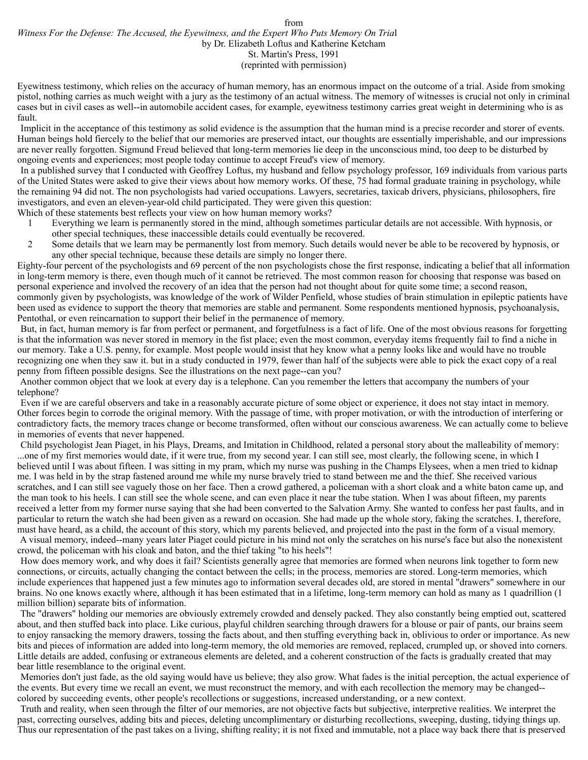## from

## *Witness For the Defense: The Accused, the Eyewitness, and the Expert Who Puts Memory On Tria*l by Dr. Elizabeth Loftus and Katherine Ketcham St. Martin's Press, 1991

## (reprinted with permission)

Eyewitness testimony, which relies on the accuracy of human memory, has an enormous impact on the outcome of a trial. Aside from smoking pistol, nothing carries as much weight with a jury as the testimony of an actual witness. The memory of witnesses is crucial not only in criminal cases but in civil cases as well--in automobile accident cases, for example, eyewitness testimony carries great weight in determining who is as fault.

 Implicit in the acceptance of this testimony as solid evidence is the assumption that the human mind is a precise recorder and storer of events. Human beings hold fiercely to the belief that our memories are preserved intact, our thoughts are essentially imperishable, and our impressions are never really forgotten. Sigmund Freud believed that long-term memories lie deep in the unconscious mind, too deep to be disturbed by ongoing events and experiences; most people today continue to accept Freud's view of memory.

 In a published survey that I conducted with Geoffrey Loftus, my husband and fellow psychology professor, 169 individuals from various parts of the United States were asked to give their views about how memory works. Of these, 75 had formal graduate training in psychology, while the remaining 94 did not. The non psychologists had varied occupations. Lawyers, secretaries, taxicab drivers, physicians, philosophers, fire investigators, and even an eleven-year-old child participated. They were given this question:

Which of these statements best reflects your view on how human memory works?

- 1 Everything we learn is permanently stored in the mind, although sometimes particular details are not accessible. With hypnosis, or other special techniques, these inaccessible details could eventually be recovered.
- 2 Some details that we learn may be permanently lost from memory. Such details would never be able to be recovered by hypnosis, or any other special technique, because these details are simply no longer there.

Eighty-four percent of the psychologists and 69 percent of the non psychologists chose the first response, indicating a belief that all information in long-term memory is there, even though much of it cannot be retrieved. The most common reason for choosing that response was based on personal experience and involved the recovery of an idea that the person had not thought about for quite some time; a second reason, commonly given by psychologists, was knowledge of the work of Wilder Penfield, whose studies of brain stimulation in epileptic patients have been used as evidence to support the theory that memories are stable and permanent. Some respondents mentioned hypnosis, psychoanalysis, Pentothal, or even reincarnation to support their belief in the permanence of memory.

 But, in fact, human memory is far from perfect or permanent, and forgetfulness is a fact of life. One of the most obvious reasons for forgetting is that the information was never stored in memory in the fist place; even the most common, everyday items frequently fail to find a niche in our memory. Take a U.S. penny, for example. Most people would insist that hey know what a penny looks like and would have no trouble recognizing one when they saw it. but in a study conducted in 1979, fewer than half of the subjects were able to pick the exact copy of a real penny from fifteen possible designs. See the illustrations on the next page--can you?

 Another common object that we look at every day is a telephone. Can you remember the letters that accompany the numbers of your telephone?

 Even if we are careful observers and take in a reasonably accurate picture of some object or experience, it does not stay intact in memory. Other forces begin to corrode the original memory. With the passage of time, with proper motivation, or with the introduction of interfering or contradictory facts, the memory traces change or become transformed, often without our conscious awareness. We can actually come to believe in memories of events that never happened.

 Child psychologist Jean Piaget, in his Plays, Dreams, and Imitation in Childhood, related a personal story about the malleability of memory: ...one of my first memories would date, if it were true, from my second year. I can still see, most clearly, the following scene, in which I believed until I was about fifteen. I was sitting in my pram, which my nurse was pushing in the Champs Elysees, when a men tried to kidnap me. I was held in by the strap fastened around me while my nurse bravely tried to stand between me and the thief. She received various scratches, and I can still see vaguely those on her face. Then a crowd gathered, a policeman with a short cloak and a white baton came up, and the man took to his heels. I can still see the whole scene, and can even place it near the tube station. When I was about fifteen, my parents received a letter from my former nurse saying that she had been converted to the Salvation Army. She wanted to confess her past faults, and in particular to return the watch she had been given as a reward on occasion. She had made up the whole story, faking the scratches. I, therefore, must have heard, as a child, the account of this story, which my parents believed, and projected into the past in the form of a visual memory. A visual memory, indeed--many years later Piaget could picture in his mind not only the scratches on his nurse's face but also the nonexistent crowd, the policeman with his cloak and baton, and the thief taking "to his heels"!

 How does memory work, and why does it fail? Scientists generally agree that memories are formed when neurons link together to form new connections, or circuits, actually changing the contact between the cells; in the process, memories are stored. Long-term memories, which include experiences that happened just a few minutes ago to information several decades old, are stored in mental "drawers" somewhere in our brains. No one knows exactly where, although it has been estimated that in a lifetime, long-term memory can hold as many as 1 quadrillion (1 million billion) separate bits of information.

 The "drawers" holding our memories are obviously extremely crowded and densely packed. They also constantly being emptied out, scattered about, and then stuffed back into place. Like curious, playful children searching through drawers for a blouse or pair of pants, our brains seem to enjoy ransacking the memory drawers, tossing the facts about, and then stuffing everything back in, oblivious to order or importance. As new bits and pieces of information are added into long-term memory, the old memories are removed, replaced, crumpled up, or shoved into corners. Little details are added, confusing or extraneous elements are deleted, and a coherent construction of the facts is gradually created that may bear little resemblance to the original event.

 Memories don't just fade, as the old saying would have us believe; they also grow. What fades is the initial perception, the actual experience of the events. But every time we recall an event, we must reconstruct the memory, and with each recollection the memory may be changed- colored by succeeding events, other people's recollections or suggestions, increased understanding, or a new context.

 Truth and reality, when seen through the filter of our memories, are not objective facts but subjective, interpretive realities. We interpret the past, correcting ourselves, adding bits and pieces, deleting uncomplimentary or disturbing recollections, sweeping, dusting, tidying things up. Thus our representation of the past takes on a living, shifting reality; it is not fixed and immutable, not a place way back there that is preserved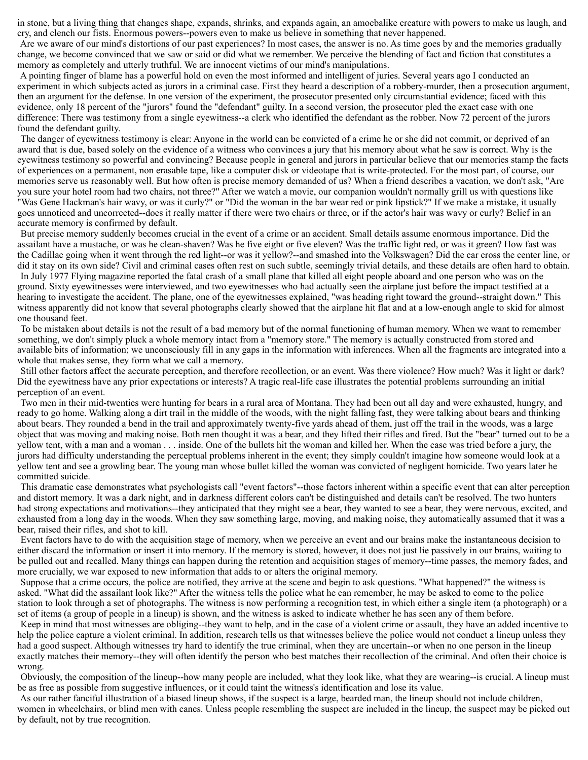in stone, but a living thing that changes shape, expands, shrinks, and expands again, an amoebalike creature with powers to make us laugh, and cry, and clench our fists. Enormous powers--powers even to make us believe in something that never happened.

 Are we aware of our mind's distortions of our past experiences? In most cases, the answer is no. As time goes by and the memories gradually change, we become convinced that we saw or said or did what we remember. We perceive the blending of fact and fiction that constitutes a memory as completely and utterly truthful. We are innocent victims of our mind's manipulations.

 A pointing finger of blame has a powerful hold on even the most informed and intelligent of juries. Several years ago I conducted an experiment in which subjects acted as jurors in a criminal case. First they heard a description of a robbery-murder, then a prosecution argument, then an argument for the defense. In one version of the experiment, the prosecutor presented only circumstantial evidence; faced with this evidence, only 18 percent of the "jurors" found the "defendant" guilty. In a second version, the prosecutor pled the exact case with one difference: There was testimony from a single eyewitness--a clerk who identified the defendant as the robber. Now 72 percent of the jurors found the defendant guilty.

 The danger of eyewitness testimony is clear: Anyone in the world can be convicted of a crime he or she did not commit, or deprived of an award that is due, based solely on the evidence of a witness who convinces a jury that his memory about what he saw is correct. Why is the eyewitness testimony so powerful and convincing? Because people in general and jurors in particular believe that our memories stamp the facts of experiences on a permanent, non erasable tape, like a computer disk or videotape that is write-protected. For the most part, of course, our memories serve us reasonably well. But how often is precise memory demanded of us? When a friend describes a vacation, we don't ask, "Are you sure your hotel room had two chairs, not three?" After we watch a movie, our companion wouldn't normally grill us with questions like "Was Gene Hackman's hair wavy, or was it curly?" or "Did the woman in the bar wear red or pink lipstick?" If we make a mistake, it usually goes unnoticed and uncorrected--does it really matter if there were two chairs or three, or if the actor's hair was wavy or curly? Belief in an accurate memory is confirmed by default.

 But precise memory suddenly becomes crucial in the event of a crime or an accident. Small details assume enormous importance. Did the assailant have a mustache, or was he clean-shaven? Was he five eight or five eleven? Was the traffic light red, or was it green? How fast was the Cadillac going when it went through the red light--or was it yellow?--and smashed into the Volkswagen? Did the car cross the center line, or did it stay on its own side? Civil and criminal cases often rest on such subtle, seemingly trivial details, and these details are often hard to obtain. In July 1977 Flying magazine reported the fatal crash of a small plane that killed all eight people aboard and one person who was on the ground. Sixty eyewitnesses were interviewed, and two eyewitnesses who had actually seen the airplane just before the impact testified at a hearing to investigate the accident. The plane, one of the eyewitnesses explained, "was heading right toward the ground--straight down." This witness apparently did not know that several photographs clearly showed that the airplane hit flat and at a low-enough angle to skid for almost one thousand feet.

 To be mistaken about details is not the result of a bad memory but of the normal functioning of human memory. When we want to remember something, we don't simply pluck a whole memory intact from a "memory store." The memory is actually constructed from stored and available bits of information; we unconsciously fill in any gaps in the information with inferences. When all the fragments are integrated into a whole that makes sense, they form what we call a memory.

 Still other factors affect the accurate perception, and therefore recollection, or an event. Was there violence? How much? Was it light or dark? Did the eyewitness have any prior expectations or interests? A tragic real-life case illustrates the potential problems surrounding an initial perception of an event.

 Two men in their mid-twenties were hunting for bears in a rural area of Montana. They had been out all day and were exhausted, hungry, and ready to go home. Walking along a dirt trail in the middle of the woods, with the night falling fast, they were talking about bears and thinking about bears. They rounded a bend in the trail and approximately twenty-five yards ahead of them, just off the trail in the woods, was a large object that was moving and making noise. Both men thought it was a bear, and they lifted their rifles and fired. But the "bear" turned out to be a yellow tent, with a man and a woman . . . inside. One of the bullets hit the woman and killed her. When the case was tried before a jury, the jurors had difficulty understanding the perceptual problems inherent in the event; they simply couldn't imagine how someone would look at a yellow tent and see a growling bear. The young man whose bullet killed the woman was convicted of negligent homicide. Two years later he committed suicide.

 This dramatic case demonstrates what psychologists call "event factors"--those factors inherent within a specific event that can alter perception and distort memory. It was a dark night, and in darkness different colors can't be distinguished and details can't be resolved. The two hunters had strong expectations and motivations--they anticipated that they might see a bear, they wanted to see a bear, they were nervous, excited, and exhausted from a long day in the woods. When they saw something large, moving, and making noise, they automatically assumed that it was a bear, raised their rifles, and shot to kill.

 Event factors have to do with the acquisition stage of memory, when we perceive an event and our brains make the instantaneous decision to either discard the information or insert it into memory. If the memory is stored, however, it does not just lie passively in our brains, waiting to be pulled out and recalled. Many things can happen during the retention and acquisition stages of memory--time passes, the memory fades, and more crucially, we war exposed to new information that adds to or alters the original memory.

 Suppose that a crime occurs, the police are notified, they arrive at the scene and begin to ask questions. "What happened?" the witness is asked. "What did the assailant look like?" After the witness tells the police what he can remember, he may be asked to come to the police station to look through a set of photographs. The witness is now performing a recognition test, in which either a single item (a photograph) or a set of items (a group of people in a lineup) is shown, and the witness is asked to indicate whether he has seen any of them before.

 Keep in mind that most witnesses are obliging--they want to help, and in the case of a violent crime or assault, they have an added incentive to help the police capture a violent criminal. In addition, research tells us that witnesses believe the police would not conduct a lineup unless they had a good suspect. Although witnesses try hard to identify the true criminal, when they are uncertain--or when no one person in the lineup exactly matches their memory--they will often identify the person who best matches their recollection of the criminal. And often their choice is wrong.

 Obviously, the composition of the lineup--how many people are included, what they look like, what they are wearing--is crucial. A lineup must be as free as possible from suggestive influences, or it could taint the witness's identification and lose its value.

 As our rather fanciful illustration of a biased lineup shows, if the suspect is a large, bearded man, the lineup should not include children, women in wheelchairs, or blind men with canes. Unless people resembling the suspect are included in the lineup, the suspect may be picked out by default, not by true recognition.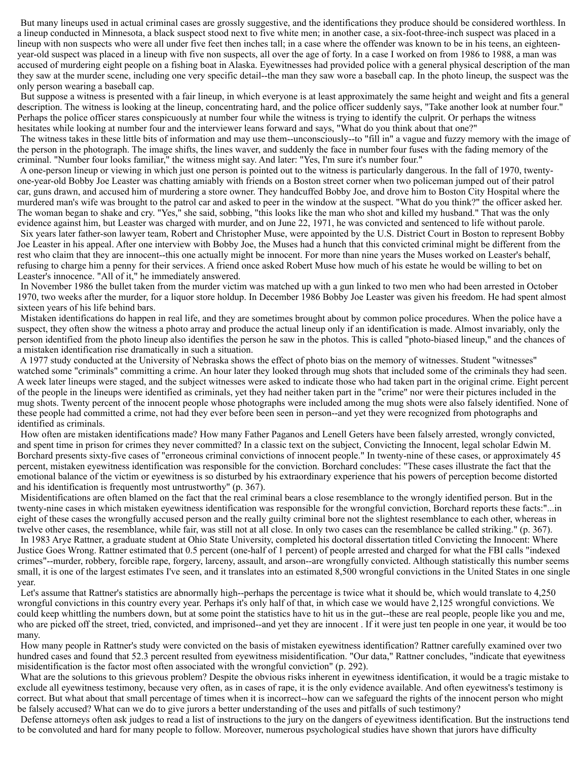But many lineups used in actual criminal cases are grossly suggestive, and the identifications they produce should be considered worthless. In a lineup conducted in Minnesota, a black suspect stood next to five white men; in another case, a six-foot-three-inch suspect was placed in a lineup with non suspects who were all under five feet then inches tall; in a case where the offender was known to be in his teens, an eighteenyear-old suspect was placed in a lineup with five non suspects, all over the age of forty. In a case I worked on from 1986 to 1988, a man was accused of murdering eight people on a fishing boat in Alaska. Eyewitnesses had provided police with a general physical description of the man they saw at the murder scene, including one very specific detail--the man they saw wore a baseball cap. In the photo lineup, the suspect was the only person wearing a baseball cap.

 But suppose a witness is presented with a fair lineup, in which everyone is at least approximately the same height and weight and fits a general description. The witness is looking at the lineup, concentrating hard, and the police officer suddenly says, "Take another look at number four." Perhaps the police officer stares conspicuously at number four while the witness is trying to identify the culprit. Or perhaps the witness hesitates while looking at number four and the interviewer leans forward and says, "What do you think about that one?"

 The witness takes in these little bits of information and may use them--unconsciously--to "fill in" a vague and fuzzy memory with the image of the person in the photograph. The image shifts, the lines waver, and suddenly the face in number four fuses with the fading memory of the criminal. "Number four looks familiar," the witness might say. And later: "Yes, I'm sure it's number four."

 A one-person lineup or viewing in which just one person is pointed out to the witness is particularly dangerous. In the fall of 1970, twentyone-year-old Bobby Joe Leaster was chatting amiably with friends on a Boston street corner when two policeman jumped out of their patrol car, guns drawn, and accused him of murdering a store owner. They handcuffed Bobby Joe, and drove him to Boston City Hospital where the murdered man's wife was brought to the patrol car and asked to peer in the window at the suspect. "What do you think?" the officer asked her. The woman began to shake and cry. "Yes," she said, sobbing, "this looks like the man who shot and killed my husband." That was the only evidence against him, but Leaster was charged with murder, and on June 22, 1971, he was convicted and sentenced to life without parole. Six years later father-son lawyer team, Robert and Christopher Muse, were appointed by the U.S. District Court in Boston to represent Bobby Joe Leaster in his appeal. After one interview with Bobby Joe, the Muses had a hunch that this convicted criminal might be different from the rest who claim that they are innocent--this one actually might be innocent. For more than nine years the Muses worked on Leaster's behalf, refusing to charge him a penny for their services. A friend once asked Robert Muse how much of his estate he would be willing to bet on Leaster's innocence. "All of it," he immediately answered.

 In November 1986 the bullet taken from the murder victim was matched up with a gun linked to two men who had been arrested in October 1970, two weeks after the murder, for a liquor store holdup. In December 1986 Bobby Joe Leaster was given his freedom. He had spent almost sixteen years of his life behind bars.

 Mistaken identifications do happen in real life, and they are sometimes brought about by common police procedures. When the police have a suspect, they often show the witness a photo array and produce the actual lineup only if an identification is made. Almost invariably, only the person identified from the photo lineup also identifies the person he saw in the photos. This is called "photo-biased lineup," and the chances of a mistaken identification rise dramatically in such a situation.

 A 1977 study conducted at the University of Nebraska shows the effect of photo bias on the memory of witnesses. Student "witnesses" watched some "criminals" committing a crime. An hour later they looked through mug shots that included some of the criminals they had seen. A week later lineups were staged, and the subject witnesses were asked to indicate those who had taken part in the original crime. Eight percent of the people in the lineups were identified as criminals, yet they had neither taken part in the "crime" nor were their pictures included in the mug shots. Twenty percent of the innocent people whose photographs were included among the mug shots were also falsely identified. None of these people had committed a crime, not had they ever before been seen in person--and yet they were recognized from photographs and identified as criminals.

 How often are mistaken identifications made? How many Father Paganos and Lenell Geters have been falsely arrested, wrongly convicted, and spent time in prison for crimes they never committed? In a classic text on the subject, Convicting the Innocent, legal scholar Edwin M. Borchard presents sixty-five cases of "erroneous criminal convictions of innocent people." In twenty-nine of these cases, or approximately 45 percent, mistaken eyewitness identification was responsible for the conviction. Borchard concludes: "These cases illustrate the fact that the emotional balance of the victim or eyewitness is so disturbed by his extraordinary experience that his powers of perception become distorted and his identification is frequently most untrustworthy" (p. 367).

 Misidentifications are often blamed on the fact that the real criminal bears a close resemblance to the wrongly identified person. But in the twenty-nine cases in which mistaken eyewitness identification was responsible for the wrongful conviction, Borchard reports these facts:"...in eight of these cases the wrongfully accused person and the really guilty criminal bore not the slightest resemblance to each other, whereas in twelve other cases, the resemblance, while fair, was still not at all close. In only two cases can the resemblance be called striking." (p. 367). In 1983 Arye Rattner, a graduate student at Ohio State University, completed his doctoral dissertation titled Convicting the Innocent: Where Justice Goes Wrong. Rattner estimated that 0.5 percent (one-half of 1 percent) of people arrested and charged for what the FBI calls "indexed crimes"--murder, robbery, forcible rape, forgery, larceny, assault, and arson--are wrongfully convicted. Although statistically this number seems small, it is one of the largest estimates I've seen, and it translates into an estimated 8,500 wrongful convictions in the United States in one single year.

Let's assume that Rattner's statistics are abnormally high--perhaps the percentage is twice what it should be, which would translate to 4,250 wrongful convictions in this country every year. Perhaps it's only half of that, in which case we would have 2,125 wrongful convictions. We could keep whittling the numbers down, but at some point the statistics have to hit us in the gut--these are real people, people like you and me, who are picked off the street, tried, convicted, and imprisoned--and yet they are innocent . If it were just ten people in one year, it would be too many.

 How many people in Rattner's study were convicted on the basis of mistaken eyewitness identification? Rattner carefully examined over two hundred cases and found that 52.3 percent resulted from eyewitness misidentification. "Our data," Rattner concludes, "indicate that eyewitness misidentification is the factor most often associated with the wrongful conviction" (p. 292).

 What are the solutions to this grievous problem? Despite the obvious risks inherent in eyewitness identification, it would be a tragic mistake to exclude all eyewitness testimony, because very often, as in cases of rape, it is the only evidence available. And often eyewitness's testimony is correct. But what about that small percentage of times when it is incorrect--how can we safeguard the rights of the innocent person who might be falsely accused? What can we do to give jurors a better understanding of the uses and pitfalls of such testimony?

 Defense attorneys often ask judges to read a list of instructions to the jury on the dangers of eyewitness identification. But the instructions tend to be convoluted and hard for many people to follow. Moreover, numerous psychological studies have shown that jurors have difficulty